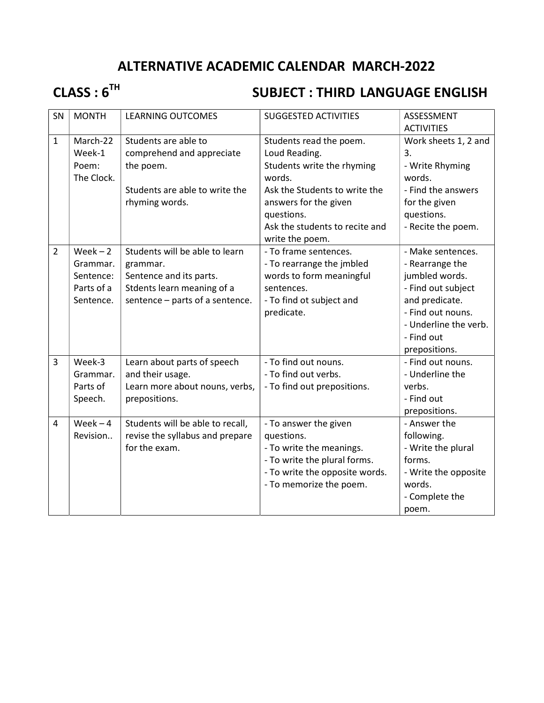## ALTERNATIVE ACADEMIC CALENDAR MARCH-2022

# CLASS : 6<sup>TH</sup> SUBJECT : THIRD LANGUAGE ENGLISH

| SN             | <b>MONTH</b> | <b>LEARNING OUTCOMES</b>         | <b>SUGGESTED ACTIVITIES</b>    | ASSESSMENT            |
|----------------|--------------|----------------------------------|--------------------------------|-----------------------|
|                |              |                                  |                                | <b>ACTIVITIES</b>     |
| $\mathbf{1}$   | March-22     | Students are able to             | Students read the poem.        | Work sheets 1, 2 and  |
|                | Week-1       | comprehend and appreciate        | Loud Reading.                  | 3.                    |
|                | Poem:        | the poem.                        | Students write the rhyming     | - Write Rhyming       |
|                | The Clock.   |                                  | words.                         | words.                |
|                |              | Students are able to write the   | Ask the Students to write the  | - Find the answers    |
|                |              | rhyming words.                   | answers for the given          | for the given         |
|                |              |                                  | questions.                     | questions.            |
|                |              |                                  | Ask the students to recite and | - Recite the poem.    |
|                |              |                                  | write the poem.                |                       |
| $\overline{2}$ | $Week - 2$   | Students will be able to learn   | - To frame sentences.          | - Make sentences.     |
|                | Grammar.     | grammar.                         | - To rearrange the jmbled      | - Rearrange the       |
|                | Sentence:    | Sentence and its parts.          | words to form meaningful       | jumbled words.        |
|                | Parts of a   | Stdents learn meaning of a       | sentences.                     | - Find out subject    |
|                | Sentence.    | sentence - parts of a sentence.  | - To find ot subject and       | and predicate.        |
|                |              |                                  | predicate.                     | - Find out nouns.     |
|                |              |                                  |                                | - Underline the verb. |
|                |              |                                  |                                | - Find out            |
|                |              |                                  |                                | prepositions.         |
| $\overline{3}$ | Week-3       | Learn about parts of speech      | - To find out nouns.           | - Find out nouns.     |
|                | Grammar.     | and their usage.                 | - To find out verbs.           | - Underline the       |
|                | Parts of     | Learn more about nouns, verbs,   | - To find out prepositions.    | verbs.                |
|                | Speech.      | prepositions.                    |                                | - Find out            |
|                |              |                                  |                                | prepositions.         |
| $\overline{4}$ | Week $-4$    | Students will be able to recall, | - To answer the given          | - Answer the          |
|                | Revision     | revise the syllabus and prepare  | questions.                     | following.            |
|                |              | for the exam.                    | - To write the meanings.       | - Write the plural    |
|                |              |                                  | - To write the plural forms.   | forms.                |
|                |              |                                  | - To write the opposite words. | - Write the opposite  |
|                |              |                                  | - To memorize the poem.        | words.                |
|                |              |                                  |                                | - Complete the        |
|                |              |                                  |                                | poem.                 |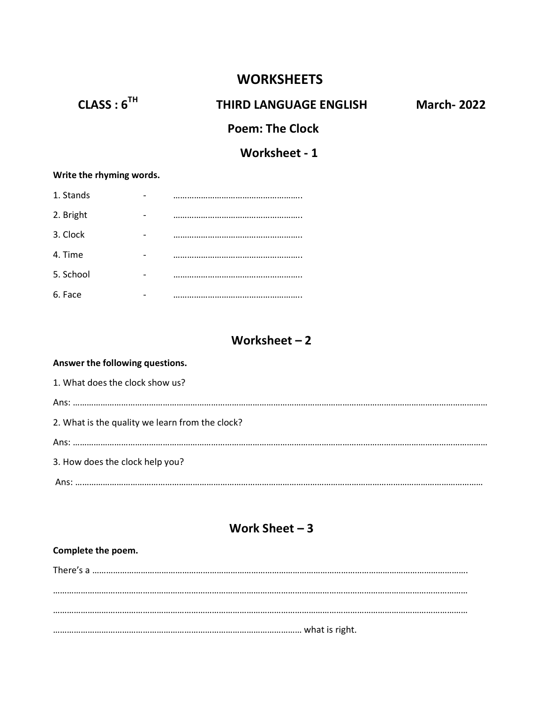## **WORKSHEETS**

# CLASS : 6<sup>TH</sup> THIRD LANGUAGE ENGLISH March- 2022

## Poem: The Clock

## Worksheet - 1

#### Write the rhyming words.

| 1. Stands |  |
|-----------|--|
| 2. Bright |  |
| 3. Clock  |  |
| 4. Time   |  |
| 5. School |  |
| 6. Face   |  |

## Worksheet – 2

#### Answer the following questions.

1. What does the clock show us? Ans: ……………………………………………………………………………………………………………………………………………………………… 2. What is the quality we learn from the clock? Ans: ……………………………………………………………………………………………………………………………………………………………… 3. How does the clock help you? Ans: ……………………………………………………………………………………………………………………………………………………………

## Work Sheet – 3

#### Complete the poem.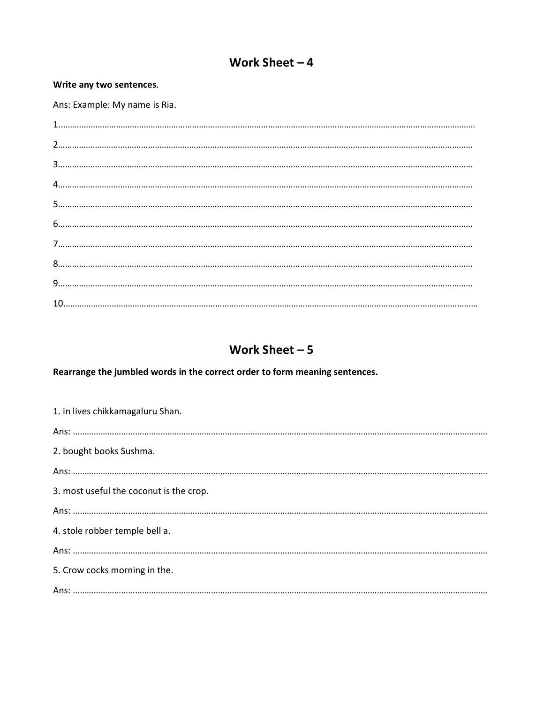## Work Sheet  $-4$

#### Write any two sentences.

Ans: Example: My name is Ria.

## Work Sheet  $-5$

Rearrange the jumbled words in the correct order to form meaning sentences.

| 1. in lives chikkamagaluru Shan.        |
|-----------------------------------------|
|                                         |
| 2. bought books Sushma.                 |
|                                         |
| 3. most useful the coconut is the crop. |
|                                         |
| 4. stole robber temple bell a.          |
|                                         |
| 5. Crow cocks morning in the.           |
|                                         |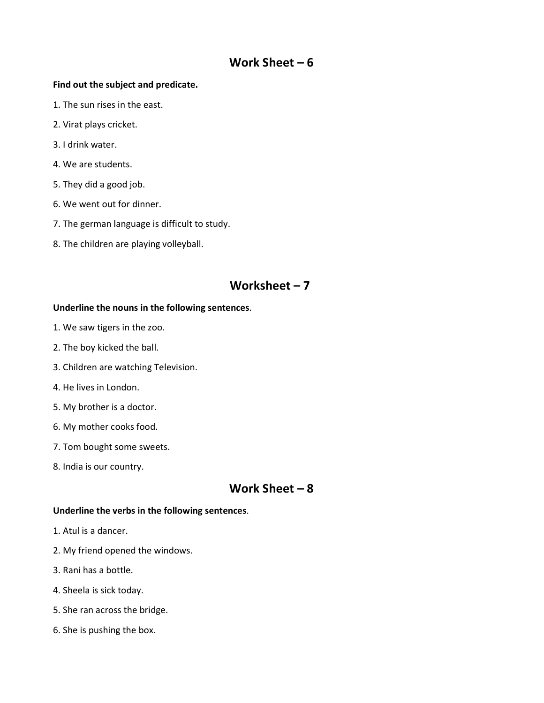## Work Sheet – 6

#### Find out the subject and predicate.

- 1. The sun rises in the east.
- 2. Virat plays cricket.
- 3. I drink water.
- 4. We are students.
- 5. They did a good job.
- 6. We went out for dinner.
- 7. The german language is difficult to study.
- 8. The children are playing volleyball.

## Worksheet – 7

#### Underline the nouns in the following sentences.

- 1. We saw tigers in the zoo.
- 2. The boy kicked the ball.
- 3. Children are watching Television.
- 4. He lives in London.
- 5. My brother is a doctor.
- 6. My mother cooks food.
- 7. Tom bought some sweets.
- 8. India is our country.

## Work Sheet – 8

#### Underline the verbs in the following sentences.

- 1. Atul is a dancer.
- 2. My friend opened the windows.
- 3. Rani has a bottle.
- 4. Sheela is sick today.
- 5. She ran across the bridge.
- 6. She is pushing the box.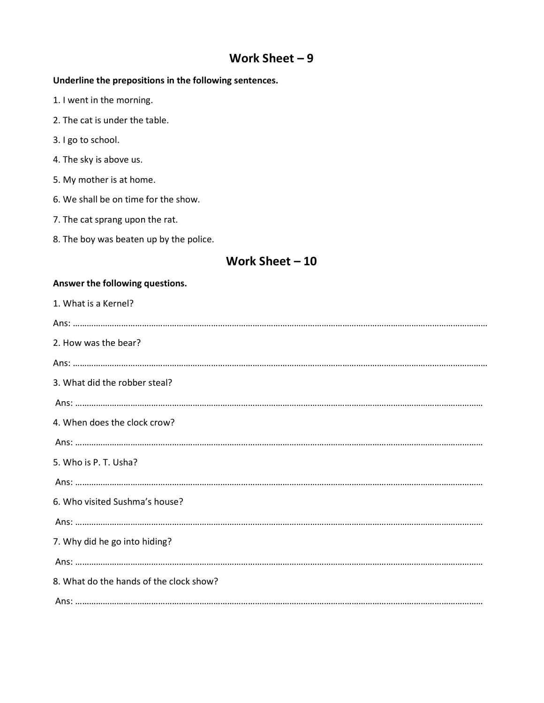## Work Sheet – 9

### Underline the prepositions in the following sentences.

- 1. I went in the morning.
- 2. The cat is under the table.
- 3. I go to school.
- 4. The sky is above us.
- 5. My mother is at home.
- 6. We shall be on time for the show.
- 7. The cat sprang upon the rat.
- 8. The boy was beaten up by the police.

## Work Sheet – 10

#### Answer the following questions.

| 1. What is a Kernel?                    |
|-----------------------------------------|
|                                         |
| 2. How was the bear?                    |
|                                         |
| 3. What did the robber steal?           |
|                                         |
| 4. When does the clock crow?            |
|                                         |
| 5. Who is P. T. Usha?                   |
|                                         |
| 6. Who visited Sushma's house?          |
|                                         |
| 7. Why did he go into hiding?           |
|                                         |
| 8. What do the hands of the clock show? |
|                                         |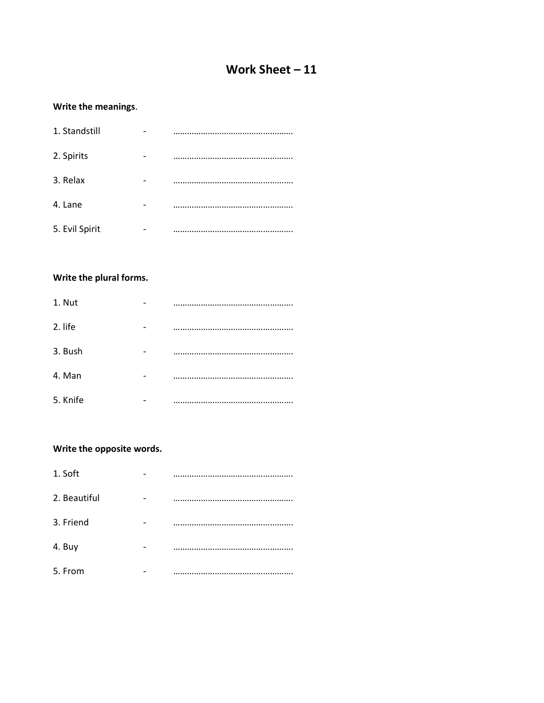## Work Sheet – 11

#### Write the meanings.

| 1. Standstill  |  |
|----------------|--|
| 2. Spirits     |  |
| 3. Relax       |  |
| 4. Lane        |  |
| 5. Evil Spirit |  |

#### Write the plural forms.

| 1. Nut   |  |
|----------|--|
| 2. life  |  |
| 3. Bush  |  |
| 4. Man   |  |
| 5. Knife |  |

### Write the opposite words.

| 1. Soft      |  |
|--------------|--|
| 2. Beautiful |  |
| 3. Friend    |  |
| 4. Buy       |  |
| 5. From      |  |